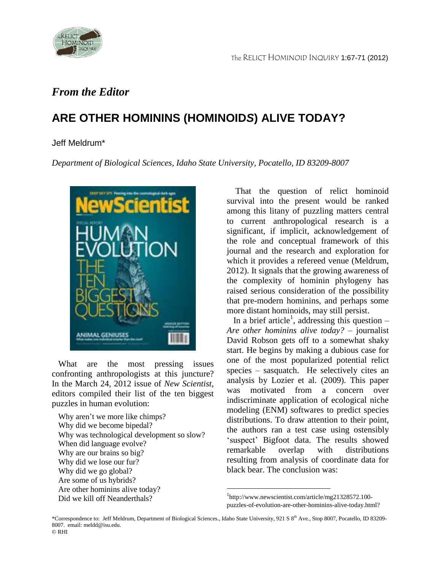

## *From the Editor*

## **ARE OTHER HOMININS (HOMINOID***S***) ALIVE TODAY?**

## Jeff Meldrum\*

*Department of Biological Sciences, Idaho State University, Pocatello, ID 83209-8007*



 What are the most pressing issues confronting anthropologists at this juncture? In the March 24, 2012 issue of *New Scientist*, editors compiled their list of the ten biggest puzzles in human evolution:

Why aren't we more like chimps? Why did we become bipedal? Why was technological development so slow? When did language evolve? Why are our brains so big? Why did we lose our fur? Why did we go global? Are some of us hybrids? Are other hominins alive today? Did we kill off Neanderthals?

 That the question of relict hominoid survival into the present would be ranked among this litany of puzzling matters central to current anthropological research is a significant, if implicit, acknowledgement of the role and conceptual framework of this journal and the research and exploration for which it provides a refereed venue (Meldrum, 2012). It signals that the growing awareness of the complexity of hominin phylogeny has raised serious consideration of the possibility that pre-modern hominins, and perhaps some more distant hominoids, may still persist.

In a brief article<sup>1</sup>, addressing this question  $-$ *Are other hominins alive today?* – journalist David Robson gets off to a somewhat shaky start. He begins by making a dubious case for one of the most popularized potential relict species – sasquatch. He selectively cites an analysis by Lozier et al. (2009). This paper was motivated from a concern over indiscriminate application of ecological niche modeling (ENM) softwares to predict species distributions. To draw attention to their point, the authors ran a test case using ostensibly 'suspect' Bigfoot data. The results showed remarkable overlap with distributions resulting from analysis of coordinate data for black bear. The conclusion was:

 $\overline{a}$ 

<sup>1</sup> http://www.newscientist.com/article/mg21328572.100 puzzles-of-evolution-are-other-hominins-alive-today.html?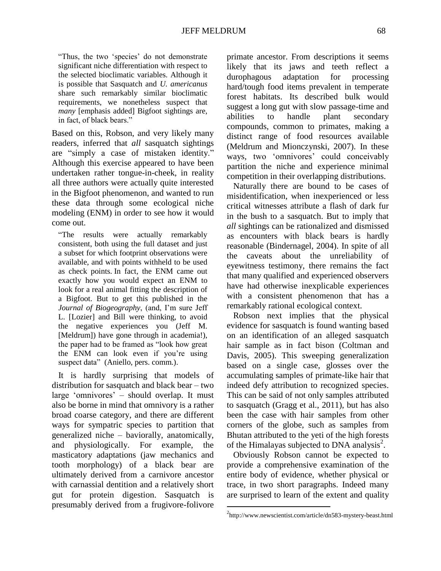"Thus, the two 'species' do not demonstrate significant niche differentiation with respect to the selected bioclimatic variables. Although it is possible that Sasquatch and *U. americanus* share such remarkably similar bioclimatic requirements, we nonetheless suspect that *many* [emphasis added] Bigfoot sightings are, in fact, of black bears."

Based on this, Robson, and very likely many readers, inferred that *all* sasquatch sightings are "simply a case of mistaken identity." Although this exercise appeared to have been undertaken rather tongue-in-cheek, in reality all three authors were actually quite interested in the Bigfoot phenomenon, and wanted to run these data through some ecological niche modeling (ENM) in order to see how it would come out.

"The results were actually remarkably consistent, both using the full dataset and just a subset for which footprint observations were available, and with points withheld to be used as check points. In fact, the ENM came out exactly how you would expect an ENM to look for a real animal fitting the description of a Bigfoot. But to get this published in the *Journal of Biogeography*, (and, I'm sure Jeff L. [Lozier] and Bill were thinking, to avoid the negative experiences you (Jeff M. [Meldrum]) have gone through in academia!), the paper had to be framed as "look how great the ENM can look even if you're using suspect data" (Aniello, pers. comm.).

 It is hardly surprising that models of distribution for sasquatch and black bear – two large 'omnivores' – should overlap. It must also be borne in mind that omnivory is a rather broad coarse category, and there are different ways for sympatric species to partition that generalized niche – baviorally, anatomically, and physiologically. For example, the masticatory adaptations (jaw mechanics and tooth morphology) of a black bear are ultimately derived from a carnivore ancestor with carnassial dentition and a relatively short gut for protein digestion. Sasquatch is presumably derived from a frugivore-folivore

primate ancestor. From descriptions it seems likely that its jaws and teeth reflect a durophagous adaptation for processing hard/tough food items prevalent in temperate forest habitats. Its described bulk would suggest a long gut with slow passage-time and abilities to handle plant secondary compounds, common to primates, making a distinct range of food resources available (Meldrum and Mionczynski, 2007). In these ways, two 'omnivores' could conceivably partition the niche and experience minimal competition in their overlapping distributions.

 Naturally there are bound to be cases of misidentification, when inexperienced or less critical witnesses attribute a flash of dark fur in the bush to a sasquatch. But to imply that *all* sightings can be rationalized and dismissed as encounters with black bears is hardly reasonable (Bindernagel, 2004). In spite of all the caveats about the unreliability of eyewitness testimony, there remains the fact that many qualified and experienced observers have had otherwise inexplicable experiences with a consistent phenomenon that has a remarkably rational ecological context.

 Robson next implies that the physical evidence for sasquatch is found wanting based on an identification of an alleged sasquatch hair sample as in fact bison (Coltman and Davis, 2005). This sweeping generalization based on a single case, glosses over the accumulating samples of primate-like hair that indeed defy attribution to recognized species. This can be said of not only samples attributed to sasquatch (Gragg et al., 2011), but has also been the case with hair samples from other corners of the globe, such as samples from Bhutan attributed to the yeti of the high forests of the Himalayas subjected to DNA analysis $^{2}$ .

 Obviously Robson cannot be expected to provide a comprehensive examination of the entire body of evidence, whether physical or trace, in two short paragraphs. Indeed many are surprised to learn of the extent and quality

 $\overline{a}$ 

<sup>&</sup>lt;sup>2</sup>http://www.newscientist.com/article/dn583-mystery-beast.html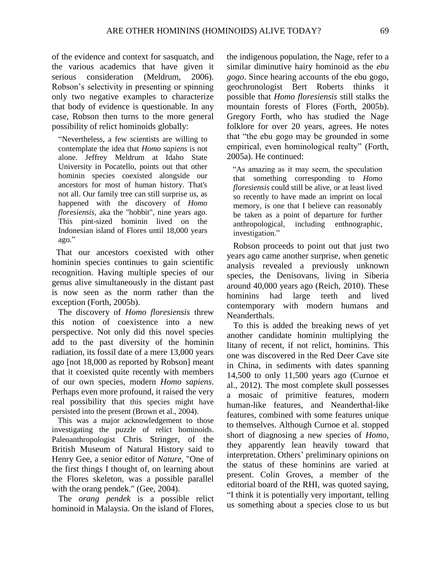of the evidence and context for sasquatch, and the various academics that have given it serious consideration (Meldrum, 2006). Robson's selectivity in presenting or spinning only two negative examples to characterize that body of evidence is questionable. In any case, Robson then turns to the more general possibility of relict hominoids globally:

"Nevertheless, a few scientists are willing to contemplate the idea that *Homo sapiens* is not alone. Jeffrey Meldrum at Idaho State University in Pocatello, points out that other hominin species coexisted alongside our ancestors for most of human history. That's not all. Our family tree can still surprise us, as happened with the discovery of *Homo floresiensis*, aka the "hobbit", nine years ago. This pint-sized hominin lived on the Indonesian island of Flores until 18,000 years ago."

 That our ancestors coexisted with other hominin species continues to gain scientific recognition. Having multiple species of our genus alive simultaneously in the distant past is now seen as the norm rather than the exception (Forth, 2005b).

 The discovery of *Homo floresiensis* threw this notion of coexistence into a new perspective. Not only did this novel species add to the past diversity of the hominin radiation, its fossil date of a mere 13,000 years ago [not 18,000 as reported by Robson] meant that it coexisted quite recently with members of our own species, modern *Homo sapiens*. Perhaps even more profound, it raised the very real possibility that this species might have persisted into the present (Brown et al., 2004).

 This was a major acknowledgement to those investigating the puzzle of relict hominoids. Paleoanthropologist Chris Stringer, of the British Museum of Natural History said to Henry Gee, a senior editor of *Nature*, "One of the first things I thought of, on learning about the Flores skeleton, was a possible parallel with the orang pendek." (Gee, 2004).

 The *orang pendek* is a possible relict hominoid in Malaysia. On the island of Flores,

the indigenous population, the Nage, refer to a similar diminutive hairy hominoid as the *ebu gogo*. Since hearing accounts of the ebu gogo, geochronologist Bert Roberts thinks it possible that *Homo floresiensis* still stalks the mountain forests of Flores (Forth, 2005b). Gregory Forth, who has studied the Nage folklore for over 20 years, agrees. He notes that "the ebu gogo may be grounded in some empirical, even hominological realty" (Forth, 2005a). He continued:

 "As amazing as it may seem, the speculation that something corresponding to *Homo floresiensis* could still be alive, or at least lived so recently to have made an imprint on local memory, is one that I believe can reasonably be taken as a point of departure for further anthropological, including enthnographic, investigation."

 Robson proceeds to point out that just two years ago came another surprise, when genetic analysis revealed a previously unknown species, the Denisovans, living in Siberia around 40,000 years ago (Reich, 2010). These hominins had large teeth and lived contemporary with modern humans and Neanderthals.

 To this is added the breaking news of yet another candidate hominin multiplying the litany of recent, if not relict, hominins. This one was discovered in the Red Deer Cave site in China, in sediments with dates spanning 14,500 to only 11,500 years ago (Curnoe et al., 2012). The most complete skull possesses a mosaic of primitive features, modern human-like features, and Neanderthal-like features, combined with some features unique to themselves. Although Curnoe et al. stopped short of diagnosing a new species of *Homo*, they apparently lean heavily toward that interpretation. Others' preliminary opinions on the status of these hominins are varied at present. Colin Groves, a member of the editorial board of the RHI, was quoted saying, "I think it is potentially very important, telling us something about a species close to us but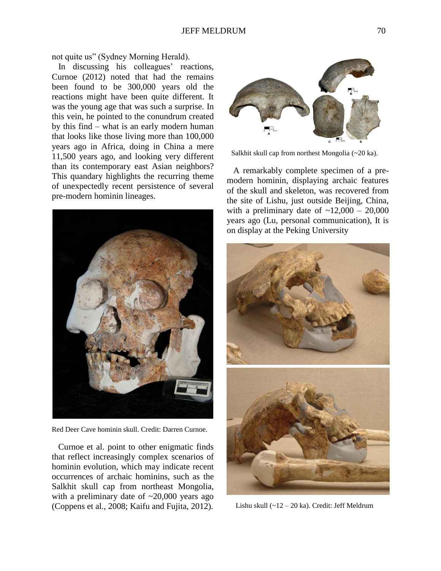not quite us" (Sydney Morning Herald).

In discussing his colleagues' reactions, Curnoe (2012) noted that had the remains been found to be 300,000 years old the reactions might have been quite different. It was the young age that was such a surprise. In this vein, he pointed to the conundrum created by this find – what is an early modern human that looks like those living more than 100,000 years ago in Africa, doing in China a mere 11,500 years ago, and looking very different than its contemporary east Asian neighbors? This quandary highlights the recurring theme of unexpectedly recent persistence of several pre-modern hominin lineages.



Red Deer Cave hominin skull. Credit: Darren Curnoe.

 Curnoe et al. point to other enigmatic finds that reflect increasingly complex scenarios of hominin evolution, which may indicate recent occurrences of archaic hominins, such as the Salkhit skull cap from northeast Mongolia, with a preliminary date of  $\approx 20,000$  years ago (Coppens et al., 2008; Kaifu and Fujita, 2012).



Salkhit skull cap from northest Mongolia (~20 ka).

 A remarkably complete specimen of a premodern hominin, displaying archaic features of the skull and skeleton, was recovered from the site of Lishu, just outside Beijing, China, with a preliminary date of  $\sim$ 12,000 – 20,000 years ago (Lu, personal communication), It is on display at the Peking University



Lishu skull (~12 – 20 ka). Credit: Jeff Meldrum